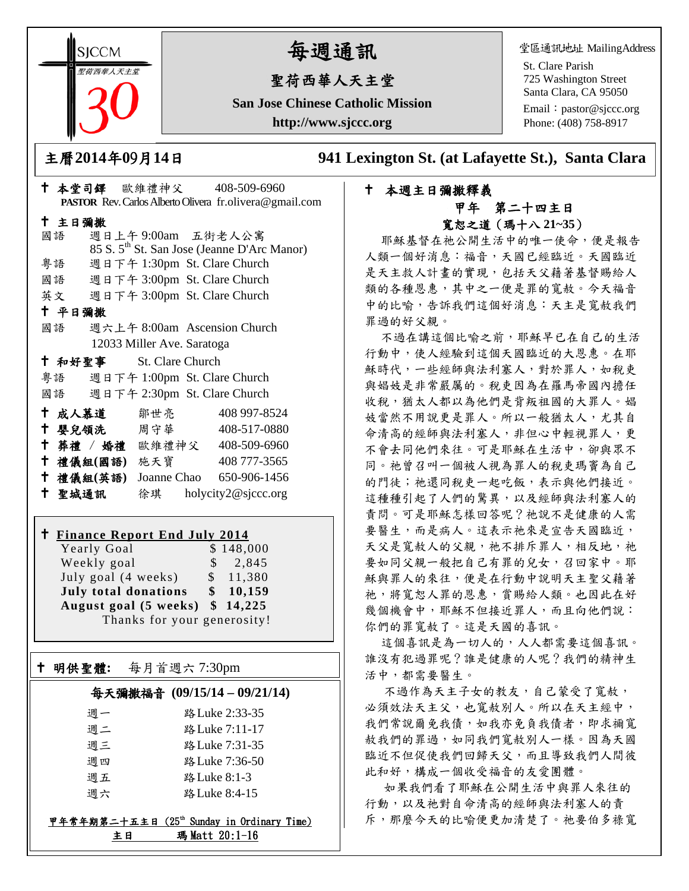**SICCM** 聖荷西華人天主堂 

## 每週通訊

## 聖荷西華人天主堂

**San Jose Chinese Catholic Mission http://www.sjccc.org**

堂區通訊地址 MailingAddress

St. Clare Parish 725 Washington Street Santa Clara, CA 95050 Email: [pastor@sjccc.org](mailto:pastor@sjccc.org) Phone: (408) 758-8917

主曆**2014**年**0**9月**14**日 **941 Lexington St. (at Lafayette St.), Santa Clara** 

### 本週主日彌撒釋義 甲年 第二十四主日 寬恕之道(瑪十八 **21~35**)

耶穌基督在祂公開生活中的唯一使命,便是報告 人類一個好消息:福音,天國已經臨近。天國臨近 是天主救人計畫的實現,包括天父藉著基督賜給人 類的各種恩惠,其中之一便是罪的寬赦。今天福音 中的比喻,告訴我們這個好消息:天主是寬赦我們 罪過的好父親。

不過在講這個比喻之前,耶穌早已在自己的生活 行動中,使人經驗到這個天國臨近的大恩惠。在耶 穌時代,一些經師與法利塞人,對於罪人,如稅吏 與娼妓是非常嚴厲的。稅吏因為在羅馬帝國內擔任 收稅,猶太人都以為他們是背叛祖國的大罪人。娼 妓當然不用說更是罪人。所以一般猶太人,尤其自 命清高的經師與法利塞人,非但心中輕視罪人,更 不會去同他們來往。可是耶穌在生活中,卻與眾不 同。祂曾召叫一個被人視為罪人的稅吏瑪竇為自己 的門徒;祂還同稅吏一起吃飯,表示與他們接近。 這種種引起了人們的驚異,以及經師與法利塞人的 責問。可是耶穌怎樣回答呢?祂說不是健康的人需 要醫生,而是病人。這表示祂來是宣告天國臨近, 天父是寬赦人的父親,祂不排斥罪人,相反地,祂 要如同父親一般把自己有罪的兒女,召回家中。耶 穌與罪人的來往,便是在行動中說明天主聖父藉著 祂,將寬恕人罪的恩惠,賞賜給人類。也因此在好 幾個機會中,耶穌不但接近罪人,而且向他們說: 你們的罪寬赦了。這是天國的喜訊。

這個喜訊是為一切人的,人人都需要這個喜訊。 誰沒有犯過罪呢?誰是健康的人呢?我們的精神生 活中,都需要醫生。

不過作為天主子女的教友,自己蒙受了寬赦, 必須效法天主父,也寬赦別人。所以在天主經中, 我們常說爾免我債,如我亦免負我債者,即求禰寬 赦我們的罪過,如同我們寬赦別人一樣。因為天國 臨近不但促使我們回歸天父,而且導致我們人間彼 此和好,構成一個收受福音的友愛團體。

如果我們看了耶穌在公開生活中與罪人來往的 行動,以及祂對自命清高的經師與法利塞人的責 斥,那麼今天的比喻便更加清楚了。祂要伯多祿寬

|        |        |                         |                            |  | PASTOR Rev. Carlos Alberto Olivera fr.olivera@gmail.com |  |  |
|--------|--------|-------------------------|----------------------------|--|---------------------------------------------------------|--|--|
| 十 主日彌撒 |        |                         |                            |  |                                                         |  |  |
|        | 國語     |                         |                            |  | 週日上午9:00am 五街老人公寓                                       |  |  |
|        |        |                         |                            |  | 85 S. 5 <sup>th</sup> St. San Jose (Jeanne D'Arc Manor) |  |  |
|        | 粤語     |                         |                            |  | 週日下午 1:30pm St. Clare Church                            |  |  |
|        |        |                         |                            |  | 國語 週日下午 3:00pm St. Clare Church                         |  |  |
|        |        |                         |                            |  | 英文 週日下午 3:00pm St. Clare Church                         |  |  |
| 十 平日彌撒 |        |                         |                            |  |                                                         |  |  |
|        | 國語     |                         |                            |  | 週六上午 8:00am Ascension Church                            |  |  |
|        |        |                         | 12033 Miller Ave. Saratoga |  |                                                         |  |  |
|        |        | † 和好聖事 St. Clare Church |                            |  |                                                         |  |  |
|        |        |                         |                            |  | 粤語 週日下午 1:00pm St. Clare Church                         |  |  |
|        |        |                         |                            |  | 國語 週日下午 2:30pm St. Clare Church                         |  |  |
|        |        | 十 成人慕道                  | 鄒世亮                        |  | 408 997-8524                                            |  |  |
| Ť.     |        | 婴兒領洗 周守華                |                            |  | 408-517-0880                                            |  |  |
|        |        |                         |                            |  | + 葬禮 / 婚禮 歐維禮神父 408-509-6960                            |  |  |
|        |        | 十 禮儀組(國語) 施天寶           |                            |  | 408 777-3565                                            |  |  |
|        |        | † 禮儀組(英語)               |                            |  | Joanne Chao 650-906-1456                                |  |  |
|        | 十 聖城通訊 |                         |                            |  | 徐琪 holycity2@sjccc.org                                  |  |  |
|        |        |                         |                            |  |                                                         |  |  |

本堂司鐸 歐維禮神父 408-509-6960

# **Finance Report End July 2014**

Yearly Goal Weekly goal  $\qquad$  \$ 2,845 July goal  $(4 \text{ weeks})$  \$ 11,380 **July total donations \$ 10,159 August goal (5 weeks) \$ 14,225** Thanks for your generosity!

#### 明供聖體**:** 每月首週六 7:30pm

Ξ

#### 每天彌撒福音 **(09/15/14 – 09/21/14)**

| 调一 | 路 Luke 2:33-35 |
|----|----------------|
| 调二 | 路 Luke 7:11-17 |
| 调三 | 路 Luke 7:31-35 |
| 调四 | 路 Luke 7:36-50 |
| 调五 | 路 Luke 8:1-3   |
| 调六 | 路 Luke 8:4-15  |

#### 甲年常年期第二十五主日 (25th Sunday in Ordinary Time) 主日 瑪 Matt 20:1-16